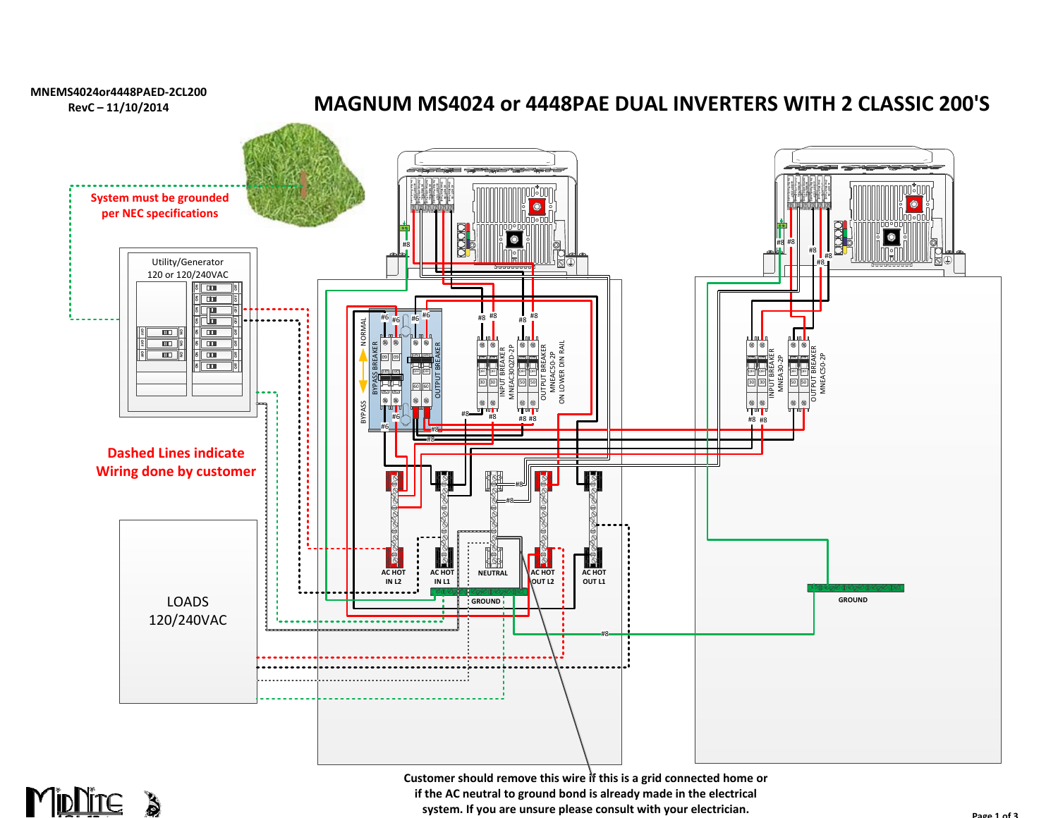



**Customer should remove this wire if this is a grid connected home or if the AC neutral to ground bond is already made in the electrical system. If you are unsure please consult with your electrician.**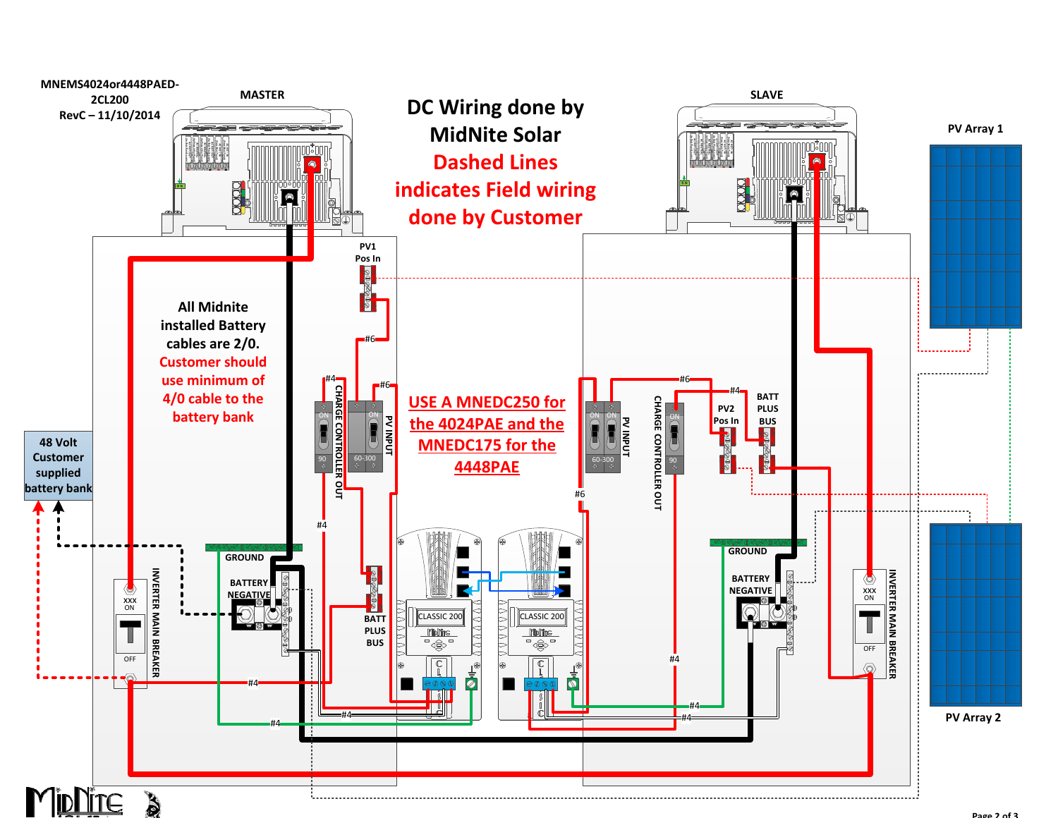